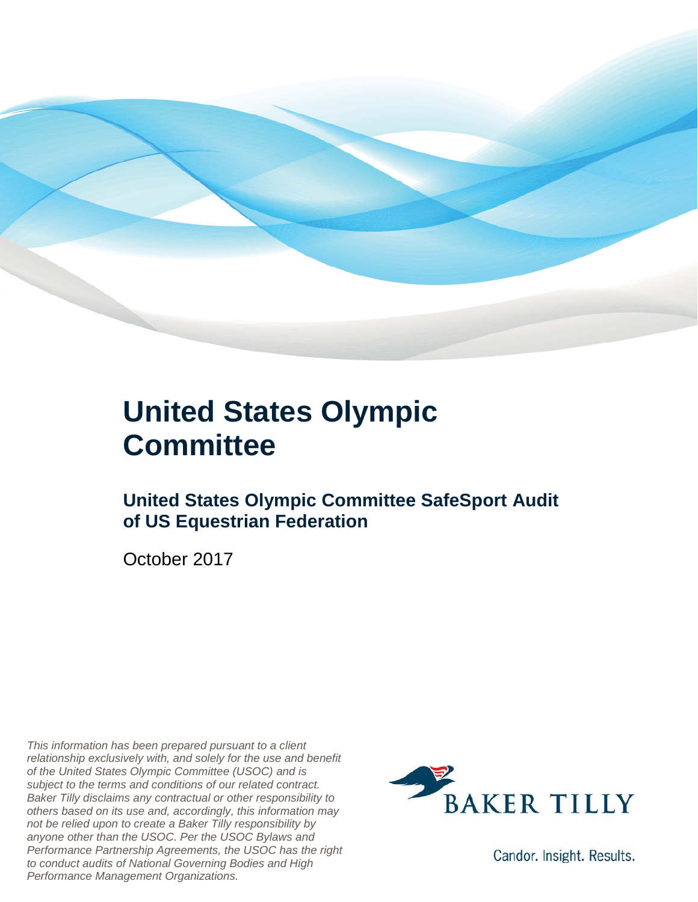

### **United States Olympic Committee**

### **United States Olympic Committee SafeSport Audit of US Equestrian Federation**

October 2017

*This information has been prepared pursuant to a client relationship exclusively with, and solely for the use and benefit of the United States Olympic Committee (USOC) and is subject to the terms and conditions of our related contract. Baker Tilly disclaims any contractual or other responsibility to others based on its use and, accordingly, this information may not be relied upon to create a Baker Tilly responsibility by anyone other than the USOC. Per the USOC Bylaws and Performance Partnership Agreements, the USOC has the right to conduct audits of National Governing Bodies and High Performance Management Organizations.*



Candor. Insight. Results.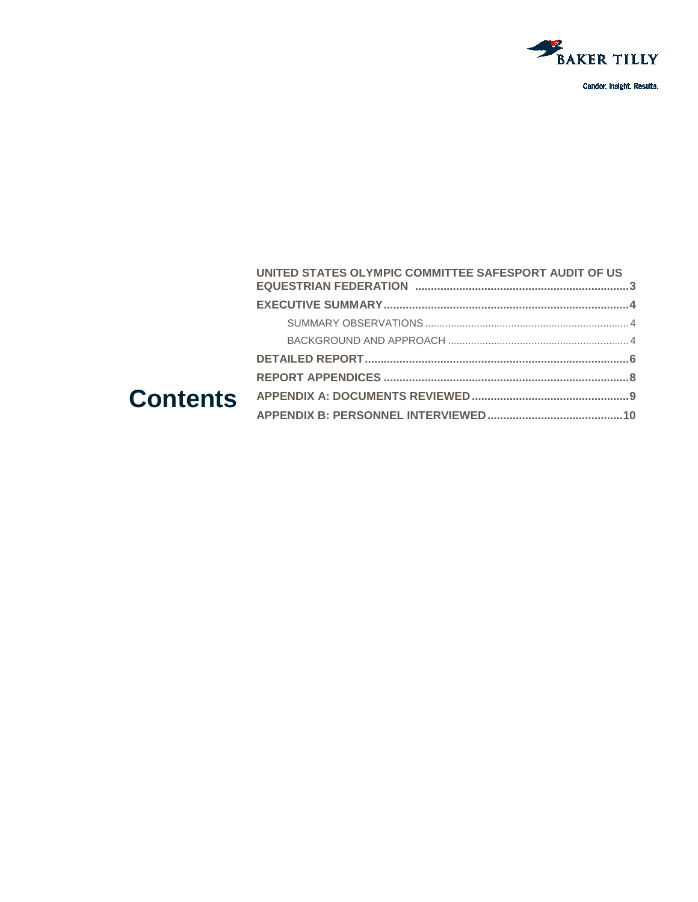

#### UNITED STATES OLYMPIC COMMITTEE SAFESPORT AUDIT OF US **Contents**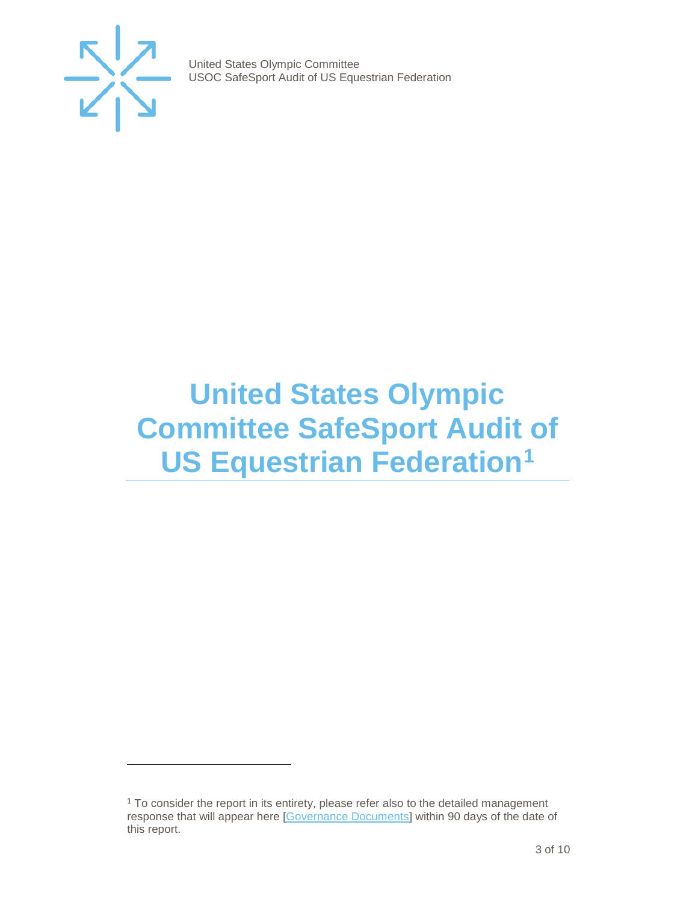

j

United States Olympic Committee USOC SafeSport Audit of US Equestrian Federation

## <span id="page-2-0"></span>**United States Olympic Committee SafeSport Audit of US Equestrian Federation[1](#page-2-1)**

<span id="page-2-1"></span><sup>&</sup>lt;sup>1</sup> To consider the report in its entirety, please refer also to the detailed management response that will appear here [\[Governance Documents\]](https://www.teamusa.org/Footer/Legal/Governance-Documents) within 90 days of the date of this report.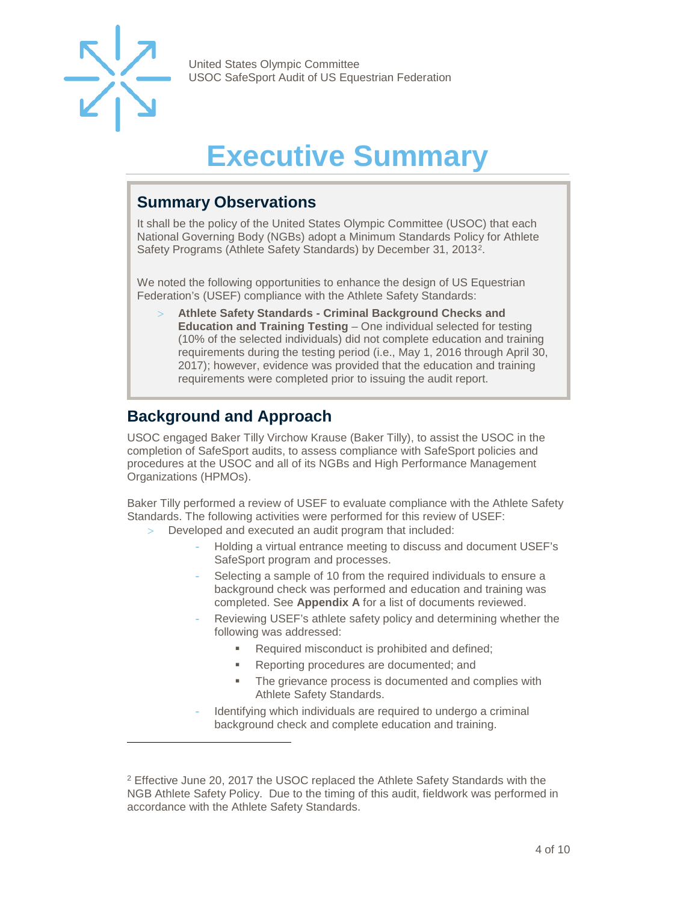

-

United States Olympic Committee USOC SafeSport Audit of US Equestrian Federation

## **Executive Summary**

#### <span id="page-3-1"></span><span id="page-3-0"></span>**Summary Observations**

It shall be the policy of the United States Olympic Committee (USOC) that each National Governing Body (NGBs) adopt a Minimum Standards Policy for Athlete Safety Programs (Athlete Safety Standards) by December 31, 2013[2](#page-3-3).

We noted the following opportunities to enhance the design of US Equestrian Federation's (USEF) compliance with the Athlete Safety Standards:

> **Athlete Safety Standards - Criminal Background Checks and Education and Training Testing** – One individual selected for testing (10% of the selected individuals) did not complete education and training requirements during the testing period (i.e., May 1, 2016 through April 30, 2017); however, evidence was provided that the education and training requirements were completed prior to issuing the audit report.

### <span id="page-3-2"></span>**Background and Approach**

USOC engaged Baker Tilly Virchow Krause (Baker Tilly), to assist the USOC in the completion of SafeSport audits, to assess compliance with SafeSport policies and procedures at the USOC and all of its NGBs and High Performance Management Organizations (HPMOs).

Baker Tilly performed a review of USEF to evaluate compliance with the Athlete Safety Standards. The following activities were performed for this review of USEF:

- Developed and executed an audit program that included:
	- Holding a virtual entrance meeting to discuss and document USEF's SafeSport program and processes.
	- Selecting a sample of 10 from the required individuals to ensure a background check was performed and education and training was completed. See **Appendix A** for a list of documents reviewed.
	- Reviewing USEF's athlete safety policy and determining whether the following was addressed:
		- Required misconduct is prohibited and defined;
		- Reporting procedures are documented; and
		- **The grievance process is documented and complies with** Athlete Safety Standards.
	- Identifying which individuals are required to undergo a criminal background check and complete education and training.

<span id="page-3-3"></span><sup>&</sup>lt;sup>2</sup> Effective June 20, 2017 the USOC replaced the Athlete Safety Standards with the NGB Athlete Safety Policy. Due to the timing of this audit, fieldwork was performed in accordance with the Athlete Safety Standards.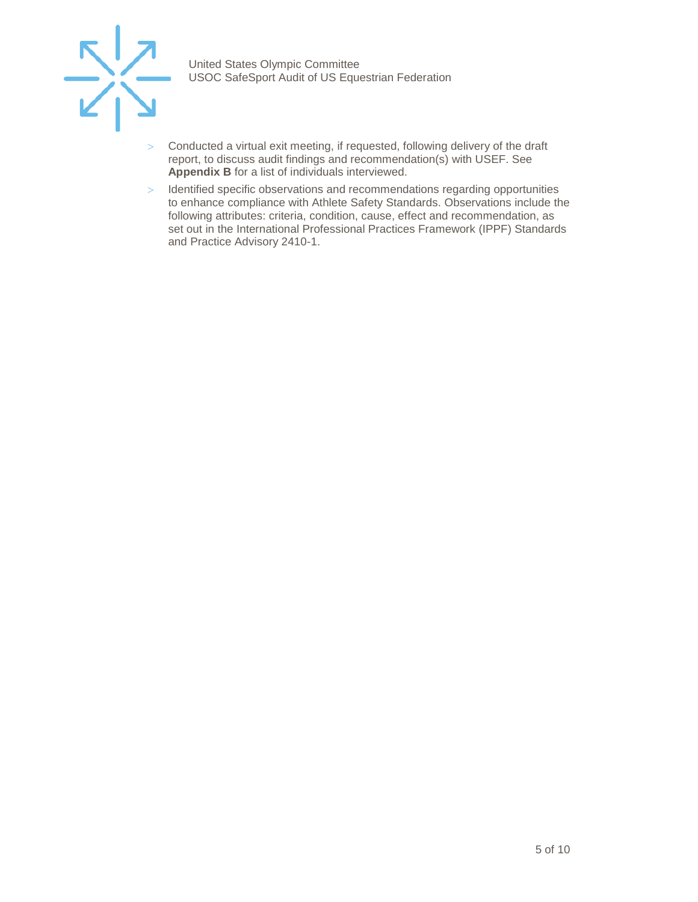

- > Conducted a virtual exit meeting, if requested, following delivery of the draft report, to discuss audit findings and recommendation(s) with USEF. See **Appendix B** for a list of individuals interviewed.
- > Identified specific observations and recommendations regarding opportunities to enhance compliance with Athlete Safety Standards. Observations include the following attributes: criteria, condition, cause, effect and recommendation, as set out in the International Professional Practices Framework (IPPF) Standards and Practice Advisory 2410-1.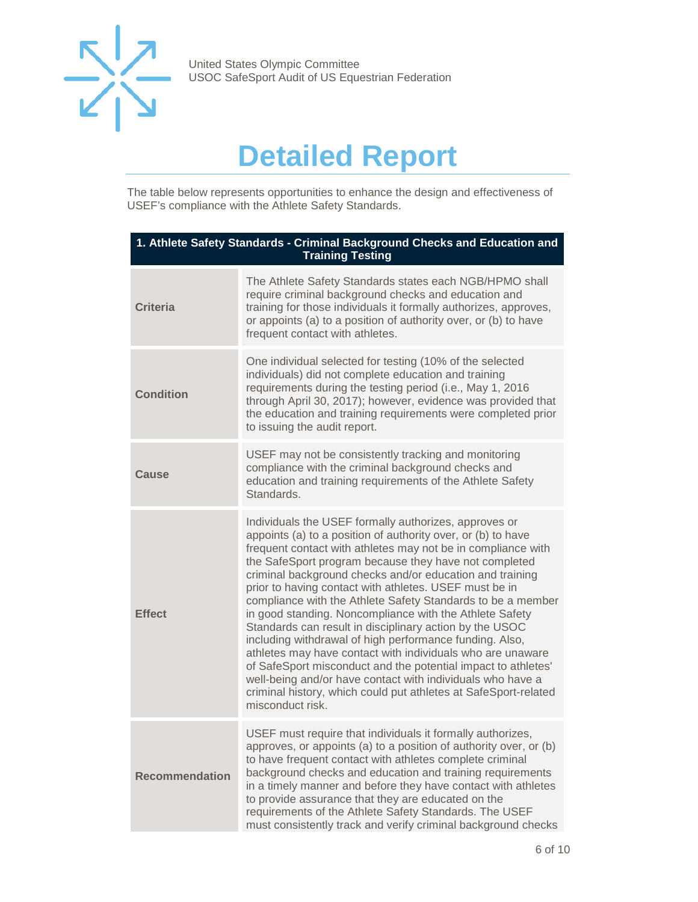

## **Detailed Report**

<span id="page-5-0"></span>The table below represents opportunities to enhance the design and effectiveness of USEF's compliance with the Athlete Safety Standards.

| 1. Athlete Safety Standards - Criminal Background Checks and Education and<br><b>Training Testing</b> |                                                                                                                                                                                                                                                                                                                                                                                                                                                                                                                                                                                                                                                                                                                                                                                                                                                                                                          |
|-------------------------------------------------------------------------------------------------------|----------------------------------------------------------------------------------------------------------------------------------------------------------------------------------------------------------------------------------------------------------------------------------------------------------------------------------------------------------------------------------------------------------------------------------------------------------------------------------------------------------------------------------------------------------------------------------------------------------------------------------------------------------------------------------------------------------------------------------------------------------------------------------------------------------------------------------------------------------------------------------------------------------|
| <b>Criteria</b>                                                                                       | The Athlete Safety Standards states each NGB/HPMO shall<br>require criminal background checks and education and<br>training for those individuals it formally authorizes, approves,<br>or appoints (a) to a position of authority over, or (b) to have<br>frequent contact with athletes.                                                                                                                                                                                                                                                                                                                                                                                                                                                                                                                                                                                                                |
| <b>Condition</b>                                                                                      | One individual selected for testing (10% of the selected<br>individuals) did not complete education and training<br>requirements during the testing period (i.e., May 1, 2016<br>through April 30, 2017); however, evidence was provided that<br>the education and training requirements were completed prior<br>to issuing the audit report.                                                                                                                                                                                                                                                                                                                                                                                                                                                                                                                                                            |
| Cause                                                                                                 | USEF may not be consistently tracking and monitoring<br>compliance with the criminal background checks and<br>education and training requirements of the Athlete Safety<br>Standards.                                                                                                                                                                                                                                                                                                                                                                                                                                                                                                                                                                                                                                                                                                                    |
| <b>Effect</b>                                                                                         | Individuals the USEF formally authorizes, approves or<br>appoints (a) to a position of authority over, or (b) to have<br>frequent contact with athletes may not be in compliance with<br>the SafeSport program because they have not completed<br>criminal background checks and/or education and training<br>prior to having contact with athletes. USEF must be in<br>compliance with the Athlete Safety Standards to be a member<br>in good standing. Noncompliance with the Athlete Safety<br>Standards can result in disciplinary action by the USOC<br>including withdrawal of high performance funding. Also,<br>athletes may have contact with individuals who are unaware<br>of SafeSport misconduct and the potential impact to athletes'<br>well-being and/or have contact with individuals who have a<br>criminal history, which could put athletes at SafeSport-related<br>misconduct risk. |
| <b>Recommendation</b>                                                                                 | USEF must require that individuals it formally authorizes,<br>approves, or appoints (a) to a position of authority over, or (b)<br>to have frequent contact with athletes complete criminal<br>background checks and education and training requirements<br>in a timely manner and before they have contact with athletes<br>to provide assurance that they are educated on the<br>requirements of the Athlete Safety Standards. The USEF<br>must consistently track and verify criminal background checks                                                                                                                                                                                                                                                                                                                                                                                               |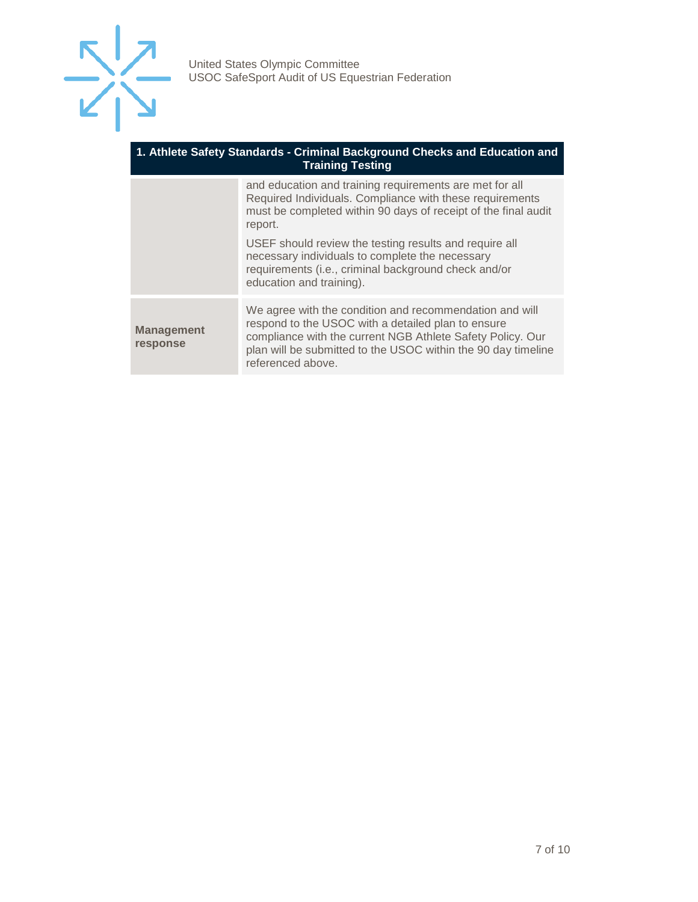

#### **1. Athlete Safety Standards - Criminal Background Checks and Education and Training Testing**

|                               | and education and training requirements are met for all<br>Required Individuals. Compliance with these requirements<br>must be completed within 90 days of receipt of the final audit<br>report.                                                                  |
|-------------------------------|-------------------------------------------------------------------------------------------------------------------------------------------------------------------------------------------------------------------------------------------------------------------|
|                               | USEF should review the testing results and require all<br>necessary individuals to complete the necessary<br>requirements (i.e., criminal background check and/or<br>education and training).                                                                     |
| <b>Management</b><br>response | We agree with the condition and recommendation and will<br>respond to the USOC with a detailed plan to ensure<br>compliance with the current NGB Athlete Safety Policy. Our<br>plan will be submitted to the USOC within the 90 day timeline<br>referenced above. |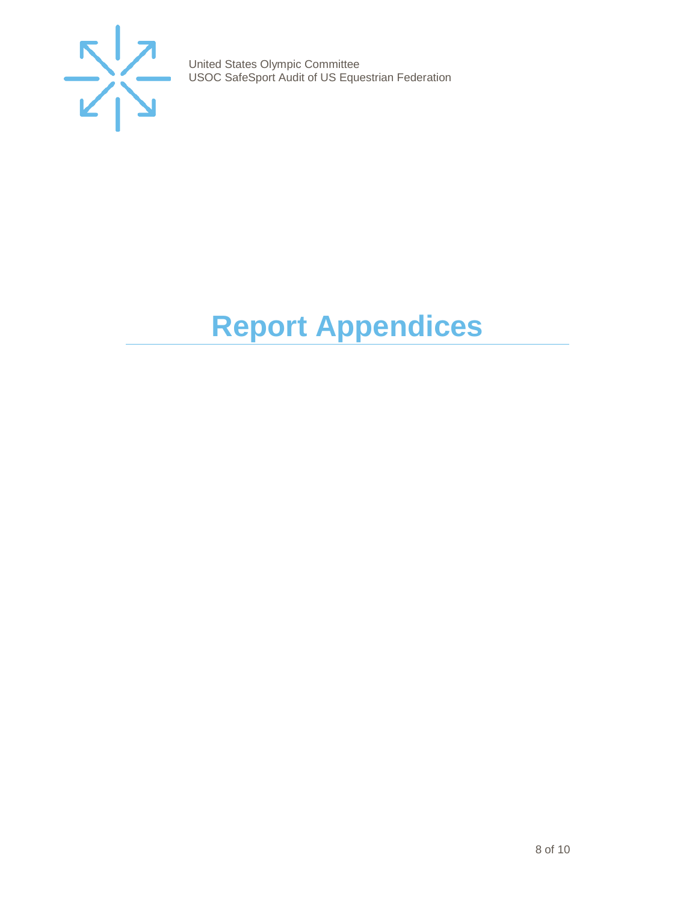

# <span id="page-7-0"></span>**Report Appendices**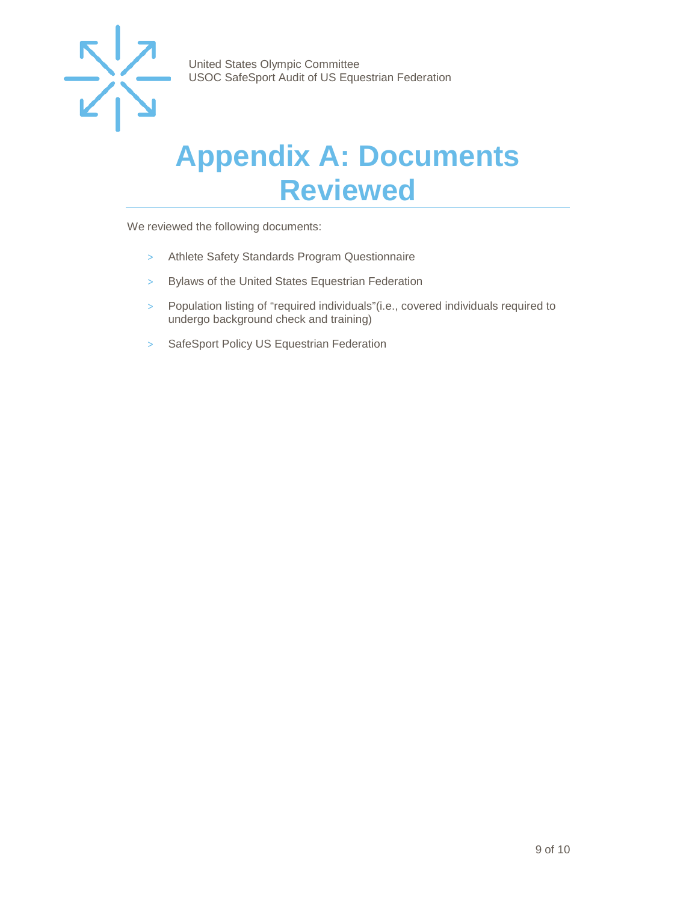

### <span id="page-8-0"></span>**Appendix A: Documents Reviewed**

We reviewed the following documents:

- > Athlete Safety Standards Program Questionnaire
- > Bylaws of the United States Equestrian Federation
- > Population listing of "required individuals"(i.e., covered individuals required to undergo background check and training)
- > SafeSport Policy US Equestrian Federation